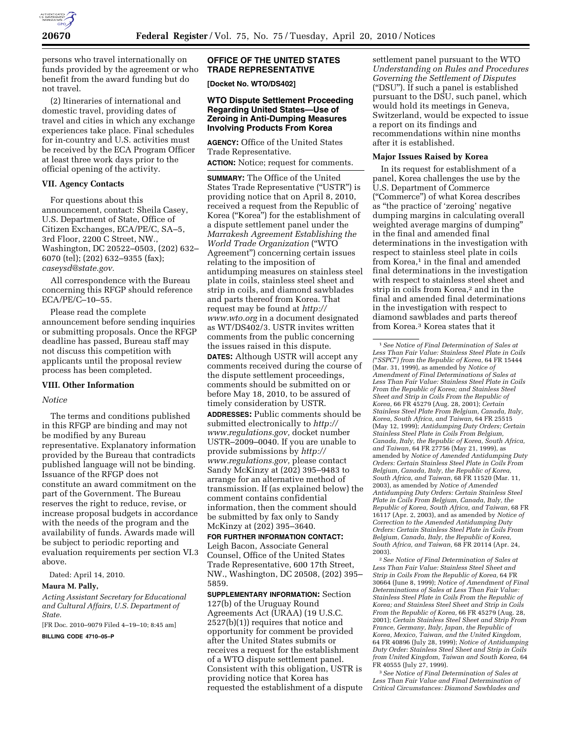

persons who travel internationally on funds provided by the agreement or who benefit from the award funding but do not travel.

(2) Itineraries of international and domestic travel, providing dates of travel and cities in which any exchange experiences take place. Final schedules for in-country and U.S. activities must be received by the ECA Program Officer at least three work days prior to the official opening of the activity.

## **VII. Agency Contacts**

For questions about this announcement, contact: Sheila Casey, U.S. Department of State, Office of Citizen Exchanges, ECA/PE/C, SA–5, 3rd Floor, 2200 C Street, NW., Washington, DC 20522–0503, (202) 632– 6070 (tel); (202) 632–9355 (fax); *caseysd@state.gov.* 

All correspondence with the Bureau concerning this RFGP should reference ECA/PE/C–10–55.

Please read the complete announcement before sending inquiries or submitting proposals. Once the RFGP deadline has passed, Bureau staff may not discuss this competition with applicants until the proposal review process has been completed.

## **VIII. Other Information**

## *Notice*

The terms and conditions published in this RFGP are binding and may not be modified by any Bureau representative. Explanatory information provided by the Bureau that contradicts published language will not be binding. Issuance of the RFGP does not constitute an award commitment on the part of the Government. The Bureau reserves the right to reduce, revise, or increase proposal budgets in accordance with the needs of the program and the availability of funds. Awards made will be subject to periodic reporting and evaluation requirements per section VI.3 above.

Dated: April 14, 2010.

### **Maura M. Pally,**

*Acting Assistant Secretary for Educational and Cultural Affairs, U.S. Department of State.* 

[FR Doc. 2010–9079 Filed 4–19–10; 8:45 am]

**BILLING CODE 4710–05–P** 

## **OFFICE OF THE UNITED STATES TRADE REPRESENTATIVE**

**[Docket No. WTO/DS402]** 

## **WTO Dispute Settlement Proceeding Regarding United States—Use of Zeroing in Anti-Dumping Measures Involving Products From Korea**

**AGENCY:** Office of the United States Trade Representative.

**ACTION:** Notice; request for comments.

**SUMMARY:** The Office of the United States Trade Representative (''USTR'') is providing notice that on April 8, 2010, received a request from the Republic of Korea (''Korea'') for the establishment of a dispute settlement panel under the *Marrakesh Agreement Establishing the World Trade Organization* (''WTO Agreement'') concerning certain issues relating to the imposition of antidumping measures on stainless steel plate in coils, stainless steel sheet and strip in coils, and diamond sawblades and parts thereof from Korea. That request may be found at *http:// www.wto.org* in a document designated as WT/DS402/3. USTR invites written comments from the public concerning the issues raised in this dispute. **DATES:** Although USTR will accept any comments received during the course of the dispute settlement proceedings, comments should be submitted on or before May 18, 2010, to be assured of timely consideration by USTR. **ADDRESSES:** Public comments should be submitted electronically to *http:// www.regulations.gov,* docket number USTR–2009–0040. If you are unable to provide submissions by *http:// www.regulations.gov,* please contact Sandy McKinzy at (202) 395–9483 to arrange for an alternative method of transmission. If (as explained below) the comment contains confidential

information, then the comment should be submitted by fax only to Sandy McKinzy at (202) 395–3640.

# **FOR FURTHER INFORMATION CONTACT:**

Leigh Bacon, Associate General Counsel, Office of the United States Trade Representative, 600 17th Street, NW., Washington, DC 20508, (202) 395– 5859.

**SUPPLEMENTARY INFORMATION:** Section 127(b) of the Uruguay Round Agreements Act (URAA) (19 U.S.C. 2527(b)(1)) requires that notice and opportunity for comment be provided after the United States submits or receives a request for the establishment of a WTO dispute settlement panel. Consistent with this obligation, USTR is providing notice that Korea has requested the establishment of a dispute settlement panel pursuant to the WTO *Understanding on Rules and Procedures Governing the Settlement of Disputes*  (''DSU''). If such a panel is established pursuant to the DSU, such panel, which would hold its meetings in Geneva, Switzerland, would be expected to issue a report on its findings and recommendations within nine months after it is established.

#### **Major Issues Raised by Korea**

In its request for establishment of a panel, Korea challenges the use by the U.S. Department of Commerce (''Commerce'') of what Korea describes as ''the practice of 'zeroing' negative dumping margins in calculating overall weighted average margins of dumping'' in the final and amended final determinations in the investigation with respect to stainless steel plate in coils from Korea,<sup>1</sup> in the final and amended final determinations in the investigation with respect to stainless steel sheet and strip in coils from Korea,2 and in the final and amended final determinations in the investigation with respect to diamond sawblades and parts thereof from Korea.3 Korea states that it

2*See Notice of Final Determination of Sales at Less Than Fair Value: Stainless Steel Sheet and Strip in Coils From the Republic of Korea,* 64 FR 30664 (June 8, 1999); *Notice of Amendment of Final Determinations of Sales at Less Than Fair Value: Stainless Steel Plate in Coils From the Republic of Korea; and Stainless Steel Sheet and Strip in Coils From the Republic of Korea,* 66 FR 45279 (Aug. 28, 2001); *Certain Stainless Steel Sheet and Strip From France, Germany, Italy, Japan, the Republic of Korea, Mexico, Taiwan, and the United Kingdom,*  64 FR 40896 (July 28, 1999); *Notice of Antidumping Duty Order: Stainless Steel Sheet and Strip in Coils from United Kingdom, Taiwan and South Korea,* 64 FR 40555 (July 27, 1999).

3*See Notice of Final Determination of Sales at Less Than Fair Value and Final Determination of Critical Circumstances: Diamond Sawblades and* 

<sup>1</sup>*See Notice of Final Determination of Sales at Less Than Fair Value: Stainless Steel Plate in Coils (*''*SSPC*''*) from the Republic of Korea,* 64 FR 15444 (Mar. 31, 1999), as amended by *Notice of Amendment of Final Determinations of Sales at Less Than Fair Value: Stainless Steel Plate in Coils From the Republic of Korea; and Stainless Steel Sheet and Strip in Coils From the Republic of Korea,* 66 FR 45279 (Aug. 28, 2001); *Certain Stainless Steel Plate From Belgium, Canada, Italy, Korea, South Africa, and Taiwan,* 64 FR 25515 (May 12, 1999); *Antidumping Duty Orders; Certain Stainless Steel Plate in Coils From Belgium, Canada, Italy, the Republic of Korea, South Africa, and Taiwan,* 64 FR 27756 (May 21, 1999), as amended by *Notice of Amended Antidumping Duty Orders: Certain Stainless Steel Plate in Coils From Belgium, Canada, Italy, the Republic of Korea, South Africa, and Taiwan,* 68 FR 11520 (Mar. 11, 2003), as amended by *Notice of Amended Antidumping Duty Orders: Certain Stainless Steel Plate in Coils From Belgium, Canada, Italy, the Republic of Korea, South Africa, and Taiwan,* 68 FR 16117 (Apr. 2, 2003), and as amended by *Notice of Correction to the Amended Antidumping Duty Orders: Certain Stainless Steel Plate in Coils From Belgium, Canada, Italy, the Republic of Korea, South Africa, and Taiwan,* 68 FR 20114 (Apr. 24, 2003).